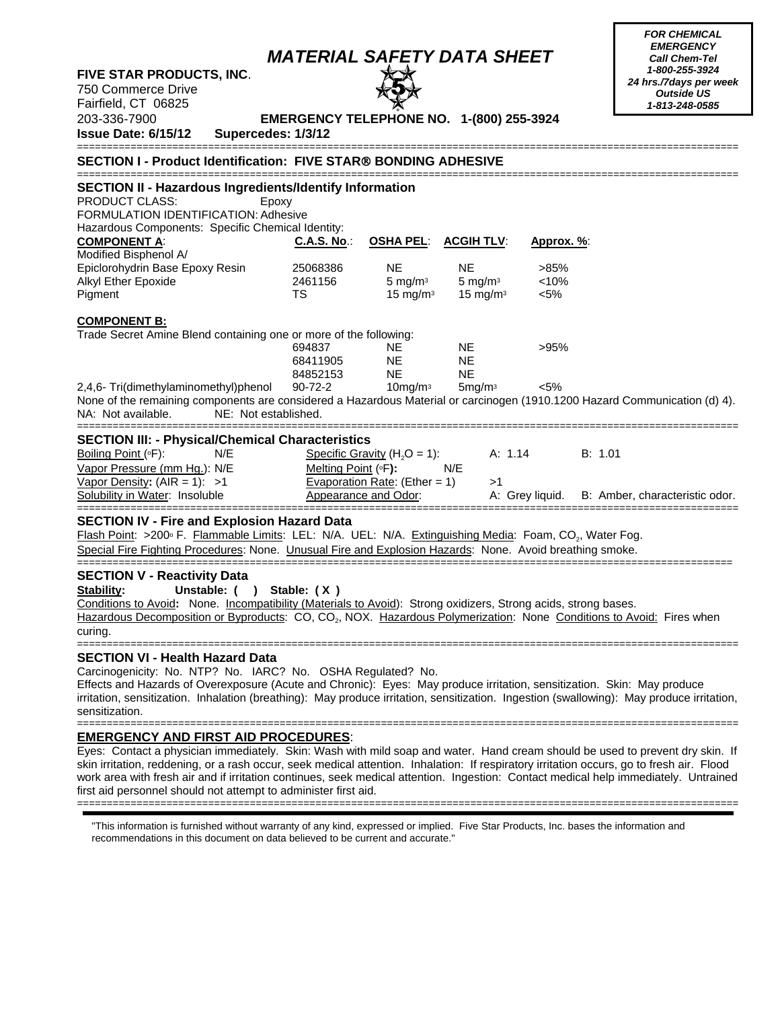| FIVE STAR PRODUCTS, INC.<br>750 Commerce Drive<br>Fairfield, CT 06825<br>203-336-7900<br><b>Issue Date: 6/15/12</b><br>Supercedes: 1/3/12                                                                                                                                                                                                                                                                                                                        | <b>MATERIAL SAFETY DATA SHEET</b><br>EMERGENCY TELEPHONE NO. 1-(800) 255-3924 |                                                                                           |                                                             |                                        | <b>EMERGENCY</b><br><b>Call Chem-Tel</b><br>1-800-255-3924<br>24 hrs./7days per week<br><b>Outside US</b><br>1-813-248-0585 |
|------------------------------------------------------------------------------------------------------------------------------------------------------------------------------------------------------------------------------------------------------------------------------------------------------------------------------------------------------------------------------------------------------------------------------------------------------------------|-------------------------------------------------------------------------------|-------------------------------------------------------------------------------------------|-------------------------------------------------------------|----------------------------------------|-----------------------------------------------------------------------------------------------------------------------------|
| SECTION I - Product Identification: FIVE STAR® BONDING ADHESIVE                                                                                                                                                                                                                                                                                                                                                                                                  |                                                                               |                                                                                           |                                                             |                                        |                                                                                                                             |
| <b>SECTION II - Hazardous Ingredients/Identify Information</b><br>PRODUCT CLASS:<br>Epoxy<br>FORMULATION IDENTIFICATION: Adhesive<br>Hazardous Components: Specific Chemical Identity:<br><b>COMPONENT A:</b><br>Modified Bisphenol A/<br>Epiclorohydrin Base Epoxy Resin<br>Alkyl Ether Epoxide<br>Pigment                                                                                                                                                      | <b>C.A.S. No.:</b><br>25068386<br>2461156<br><b>TS</b>                        | <b>OSHA PEL:</b><br><b>NE</b><br>5 mg/m $3$<br>15 mg/m $3$                                | <b>ACGIH TLV:</b><br>NE.<br>5 mg/m $3$<br>$15 \text{ mg/m}$ | Approx. %:<br>>85%<br>< 10%<br>$< 5\%$ |                                                                                                                             |
| <b>COMPONENT B:</b><br>Trade Secret Amine Blend containing one or more of the following:<br>2,4,6- Tri(dimethylaminomethyl)phenol<br>None of the remaining components are considered a Hazardous Material or carcinogen (1910.1200 Hazard Communication (d) 4).<br>NE: Not established.<br>NA: Not available.                                                                                                                                                    | 694837<br>68411905<br>84852153<br>90-72-2                                     | NE.<br><b>NE</b><br>NE.<br>$10$ mg/m $3$                                                  | <b>NE</b><br><b>NE</b><br>NE<br>5mg/m <sup>3</sup>          | >95%<br>$< 5\%$                        |                                                                                                                             |
| <b>SECTION III: - Physical/Chemical Characteristics</b><br>Boiling Point (°F):<br>N/E<br>Vapor Pressure (mm Hg.): N/E<br>Vapor Density: $(AIR = 1): >1$<br>Solubility in Water: Insoluble                                                                                                                                                                                                                                                                        | Melting Point (°F):                                                           | Specific Gravity ( $H_2O = 1$ ):<br>Evaporation Rate: (Ether = 1)<br>Appearance and Odor: | A: 1.14<br>N/E<br>>1                                        | A: Grey liquid.                        | B: 1.01<br>B: Amber, characteristic odor.                                                                                   |
| <b>SECTION IV - Fire and Explosion Hazard Data</b><br>Flash Point: >200 <sup>®</sup> F. Flammable Limits: LEL: N/A. UEL: N/A. Extinguishing Media: Foam, CO <sub>2</sub> , Water Fog.<br>Special Fire Fighting Procedures: None. Unusual Fire and Explosion Hazards: None. Avoid breathing smoke.                                                                                                                                                                |                                                                               |                                                                                           |                                                             |                                        |                                                                                                                             |
| <b>SECTION V - Reactivity Data</b><br>Stability:<br>Unstable: ()<br>Conditions to Avoid: None. Incompatibility (Materials to Avoid): Strong oxidizers, Strong acids, strong bases.<br>Hazardous Decomposition or Byproducts: CO, CO <sub>2</sub> , NOX. Hazardous Polymerization: None Conditions to Avoid: Fires when<br>curing.                                                                                                                                | Stable: (X)                                                                   |                                                                                           |                                                             |                                        |                                                                                                                             |
| <b>SECTION VI - Health Hazard Data</b><br>Carcinogenicity: No. NTP? No. IARC? No. OSHA Regulated? No.<br>Effects and Hazards of Overexposure (Acute and Chronic): Eyes: May produce irritation, sensitization. Skin: May produce<br>irritation, sensitization. Inhalation (breathing): May produce irritation, sensitization. Ingestion (swallowing): May produce irritation,<br>sensitization.                                                                  |                                                                               |                                                                                           |                                                             |                                        |                                                                                                                             |
| <u>EMERGENCY AND FIRST AID PROCEDURES:</u><br>Eyes: Contact a physician immediately. Skin: Wash with mild soap and water. Hand cream should be used to prevent dry skin. If<br>skin irritation, reddening, or a rash occur, seek medical attention. Inhalation: If respiratory irritation occurs, go to fresh air. Flood<br>work area with fresh air and if irritation continues, seek medical attention. Ingestion: Contact medical help immediately. Untrained |                                                                               |                                                                                           |                                                             |                                        |                                                                                                                             |

*FOR CHEMICAL* 

first aid personnel should not attempt to administer first aid. ===============================================================================================================

"This information is furnished without warranty of any kind, expressed or implied. Five Star Products, Inc. bases the information and recommendations in this document on data believed to be current and accurate."